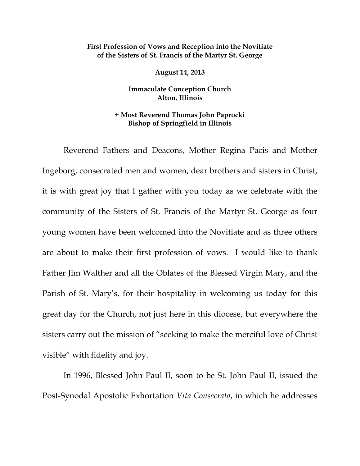## **First Profession of Vows and Reception into the Novitiate of the Sisters of St. Francis of the Martyr St. George**

**August 14, 2013** 

**Immaculate Conception Church Alton, Illinois** 

**+ Most Reverend Thomas John Paprocki Bishop of Springfield in Illinois** 

Reverend Fathers and Deacons, Mother Regina Pacis and Mother Ingeborg, consecrated men and women, dear brothers and sisters in Christ, it is with great joy that I gather with you today as we celebrate with the community of the Sisters of St. Francis of the Martyr St. George as four young women have been welcomed into the Novitiate and as three others are about to make their first profession of vows. I would like to thank Father Jim Walther and all the Oblates of the Blessed Virgin Mary, and the Parish of St. Mary's, for their hospitality in welcoming us today for this great day for the Church, not just here in this diocese, but everywhere the sisters carry out the mission of "seeking to make the merciful love of Christ visible" with fidelity and joy.

In 1996, Blessed John Paul II, soon to be St. John Paul II, issued the Post-Synodal Apostolic Exhortation *Vita Consecrata*, in which he addresses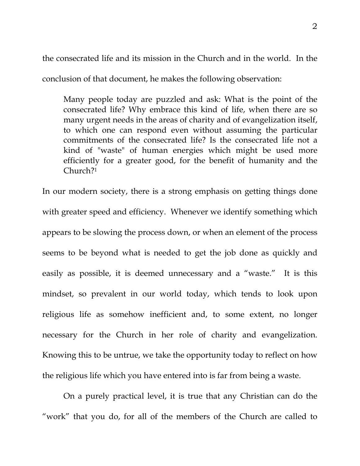the consecrated life and its mission in the Church and in the world. In the

conclusion of that document, he makes the following observation:

Many people today are puzzled and ask: What is the point of the consecrated life? Why embrace this kind of life, when there are so many urgent needs in the areas of charity and of evangelization itself, to which one can respond even without assuming the particular commitments of the consecrated life? Is the consecrated life not a kind of "waste" of human energies which might be used more efficiently for a greater good, for the benefit of humanity and the Church?1

In our modern society, there is a strong emphasis on getting things done with greater speed and efficiency. Whenever we identify something which appears to be slowing the process down, or when an element of the process seems to be beyond what is needed to get the job done as quickly and easily as possible, it is deemed unnecessary and a "waste." It is this mindset, so prevalent in our world today, which tends to look upon religious life as somehow inefficient and, to some extent, no longer necessary for the Church in her role of charity and evangelization. Knowing this to be untrue, we take the opportunity today to reflect on how the religious life which you have entered into is far from being a waste.

 On a purely practical level, it is true that any Christian can do the "work" that you do, for all of the members of the Church are called to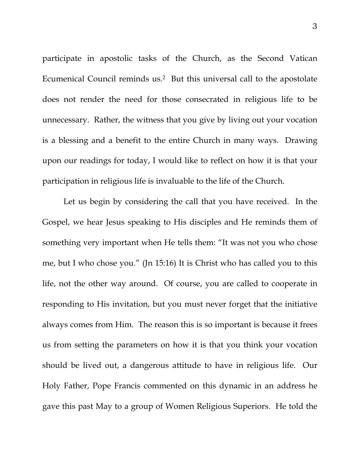participate in apostolic tasks of the Church, as the Second Vatican Ecumenical Council reminds us.2 But this universal call to the apostolate does not render the need for those consecrated in religious life to be unnecessary. Rather, the witness that you give by living out your vocation is a blessing and a benefit to the entire Church in many ways. Drawing upon our readings for today, I would like to reflect on how it is that your participation in religious life is invaluable to the life of the Church.

 Let us begin by considering the call that you have received. In the Gospel, we hear Jesus speaking to His disciples and He reminds them of something very important when He tells them: "It was not you who chose me, but I who chose you." (Jn 15:16) It is Christ who has called you to this life, not the other way around. Of course, you are called to cooperate in responding to His invitation, but you must never forget that the initiative always comes from Him. The reason this is so important is because it frees us from setting the parameters on how it is that you think your vocation should be lived out, a dangerous attitude to have in religious life. Our Holy Father, Pope Francis commented on this dynamic in an address he gave this past May to a group of Women Religious Superiors. He told the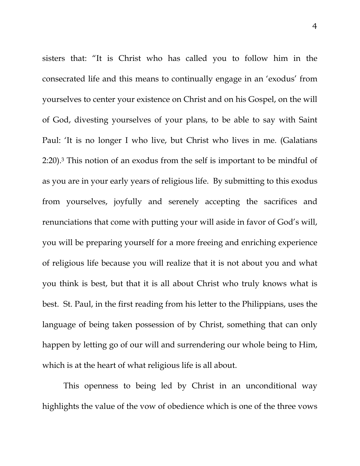sisters that: "It is Christ who has called you to follow him in the consecrated life and this means to continually engage in an 'exodus' from yourselves to center your existence on Christ and on his Gospel, on the will of God, divesting yourselves of your plans, to be able to say with Saint Paul: 'It is no longer I who live, but Christ who lives in me. (Galatians 2:20).3 This notion of an exodus from the self is important to be mindful of as you are in your early years of religious life. By submitting to this exodus from yourselves, joyfully and serenely accepting the sacrifices and renunciations that come with putting your will aside in favor of God's will, you will be preparing yourself for a more freeing and enriching experience of religious life because you will realize that it is not about you and what you think is best, but that it is all about Christ who truly knows what is best. St. Paul, in the first reading from his letter to the Philippians, uses the language of being taken possession of by Christ, something that can only happen by letting go of our will and surrendering our whole being to Him, which is at the heart of what religious life is all about.

 This openness to being led by Christ in an unconditional way highlights the value of the vow of obedience which is one of the three vows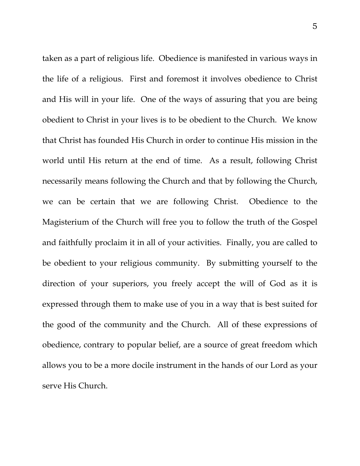taken as a part of religious life. Obedience is manifested in various ways in the life of a religious. First and foremost it involves obedience to Christ and His will in your life. One of the ways of assuring that you are being obedient to Christ in your lives is to be obedient to the Church. We know that Christ has founded His Church in order to continue His mission in the world until His return at the end of time. As a result, following Christ necessarily means following the Church and that by following the Church, we can be certain that we are following Christ. Obedience to the Magisterium of the Church will free you to follow the truth of the Gospel and faithfully proclaim it in all of your activities. Finally, you are called to be obedient to your religious community. By submitting yourself to the direction of your superiors, you freely accept the will of God as it is expressed through them to make use of you in a way that is best suited for the good of the community and the Church. All of these expressions of obedience, contrary to popular belief, are a source of great freedom which allows you to be a more docile instrument in the hands of our Lord as your serve His Church.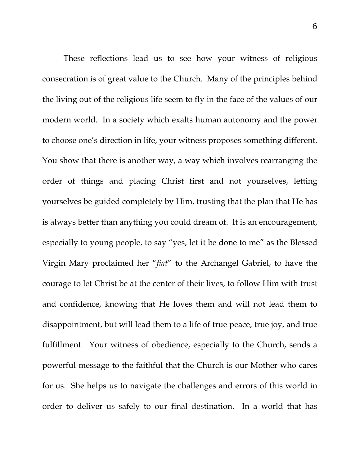These reflections lead us to see how your witness of religious consecration is of great value to the Church. Many of the principles behind the living out of the religious life seem to fly in the face of the values of our modern world. In a society which exalts human autonomy and the power to choose one's direction in life, your witness proposes something different. You show that there is another way, a way which involves rearranging the order of things and placing Christ first and not yourselves, letting yourselves be guided completely by Him, trusting that the plan that He has is always better than anything you could dream of. It is an encouragement, especially to young people, to say "yes, let it be done to me" as the Blessed Virgin Mary proclaimed her "*fiat*" to the Archangel Gabriel, to have the courage to let Christ be at the center of their lives, to follow Him with trust and confidence, knowing that He loves them and will not lead them to disappointment, but will lead them to a life of true peace, true joy, and true fulfillment. Your witness of obedience, especially to the Church, sends a powerful message to the faithful that the Church is our Mother who cares for us. She helps us to navigate the challenges and errors of this world in order to deliver us safely to our final destination. In a world that has